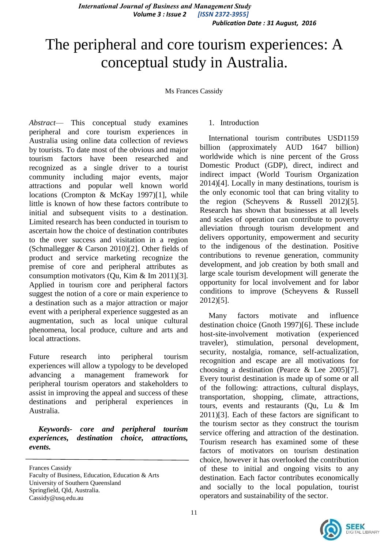# The peripheral and core tourism experiences: A conceptual study in Australia.

Ms Frances Cassidy

*Abstract*— This conceptual study examines peripheral and core tourism experiences in Australia using online data collection of reviews by tourists. To date most of the obvious and major tourism factors have been researched and recognized as a single driver to a tourist community including major events, major attractions and popular well known world locations (Crompton & McKay 1997)[1], while little is known of how these factors contribute to initial and subsequent visits to a destination. Limited research has been conducted in tourism to ascertain how the choice of destination contributes to the over success and visitation in a region (Schmallegger & Carson 2010)[2]. Other fields of product and service marketing recognize the premise of core and peripheral attributes as consumption motivators (Qu, Kim & Im 2011)[3]. Applied in tourism core and peripheral factors suggest the notion of a core or main experience to a destination such as a major attraction or major event with a peripheral experience suggested as an augmentation, such as local unique cultural phenomena, local produce, culture and arts and local attractions.

Future research into peripheral tourism experiences will allow a typology to be developed advancing a management framework for peripheral tourism operators and stakeholders to assist in improving the appeal and success of these destinations and peripheral experiences in Australia.

*Keywords- core and peripheral tourism experiences, destination choice, attractions, events.*

Frances Cassidy

Faculty of Business, Education, Education & Arts University of Southern Queensland Springfield, Qld, Australia. Cassidy@usq.edu.au

## 1. Introduction

International tourism contributes USD1159 billion (approximately AUD 1647 billion) worldwide which is nine percent of the Gross Domestic Product (GDP), direct, indirect and indirect impact (World Tourism Organization 2014)[4]. Locally in many destinations, tourism is the only economic tool that can bring vitality to the region (Scheyvens & Russell 2012)[5]. Research has shown that businesses at all levels and scales of operation can contribute to poverty alleviation through tourism development and delivers opportunity, empowerment and security to the indigenous of the destination. Positive contributions to revenue generation, community development, and job creation by both small and large scale tourism development will generate the opportunity for local involvement and for labor conditions to improve (Scheyvens & Russell 2012)[5].

Many factors motivate and influence destination choice (Gnoth 1997)[6]. These include host-site-involvement motivation (experienced traveler), stimulation, personal development, security, nostalgia, romance, self-actualization, recognition and escape are all motivations for choosing a destination (Pearce & Lee 2005)[7]. Every tourist destination is made up of some or all of the following: attractions, cultural displays, transportation, shopping, climate, attractions, tours, events and restaurants (Qu, Lu & Im 2011)[3]. Each of these factors are significant to the tourism sector as they construct the tourism service offering and attraction of the destination. Tourism research has examined some of these factors of motivators on tourism destination choice, however it has overlooked the contribution of these to initial and ongoing visits to any destination. Each factor contributes economically and socially to the local population, tourist operators and sustainability of the sector.

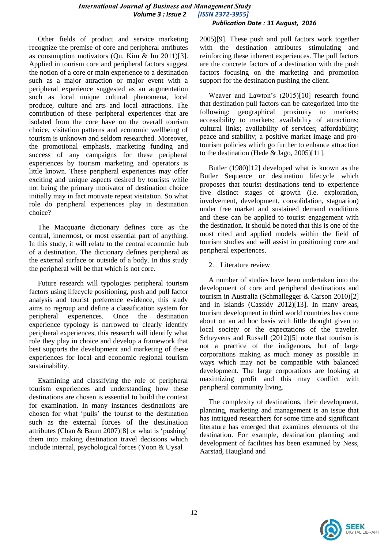Other fields of product and service marketing recognize the premise of core and peripheral attributes as consumption motivators (Qu, Kim & Im 2011)[3]. Applied in tourism core and peripheral factors suggest the notion of a core or main experience to a destination such as a major attraction or major event with a peripheral experience suggested as an augmentation such as local unique cultural phenomena, local produce, culture and arts and local attractions. The contribution of these peripheral experiences that are isolated from the core have on the overall tourism choice, visitation patterns and economic wellbeing of tourism is unknown and seldom researched. Moreover, the promotional emphasis, marketing funding and success of any campaigns for these peripheral experiences by tourism marketing and operators is little known. These peripheral experiences may offer exciting and unique aspects desired by tourists while not being the primary motivator of destination choice initially may in fact motivate repeat visitation. So what role do peripheral experiences play in destination choice?

The Macquarie dictionary defines core as the central, innermost, or most essential part of anything. In this study, it will relate to the central economic hub of a destination. The dictionary defines peripheral as the external surface or outside of a body. In this study the peripheral will be that which is not core.

Future research will typologies peripheral tourism factors using lifecycle positioning, push and pull factor analysis and tourist preference evidence, this study aims to regroup and define a classification system for peripheral experiences. Once the destination experience typology is narrowed to clearly identify peripheral experiences, this research will identify what role they play in choice and develop a framework that best supports the development and marketing of these experiences for local and economic regional tourism sustainability.

Examining and classifying the role of peripheral tourism experiences and understanding how these destinations are chosen is essential to build the context for examination. In many instances destinations are chosen for what 'pulls' the tourist to the destination such as the external forces of the destination attributes (Chan & Baum 2007)[8] or what is 'pushing' them into making destination travel decisions which include internal, psychological forces (Yoon & Uysal

2005)[9]. These push and pull factors work together with the destination attributes stimulating and reinforcing these inherent experiences. The pull factors are the concrete factors of a destination with the push factors focusing on the marketing and promotion support for the destination pushing the client.

Weaver and Lawton's (2015)[10] research found that destination pull factors can be categorized into the following: geographical proximity to markets; accessibility to markets; availability of attractions; cultural links; availability of services; affordability; peace and stability; a positive market image and protourism policies which go further to enhance attraction to the destination (Hede & Jago, 2005)[11].

Butler (1980)[12] developed what is known as the Butler Sequence or destination lifecycle which proposes that tourist destinations tend to experience five distinct stages of growth (i.e. exploration, involvement, development, consolidation, stagnation) under free market and sustained demand conditions and these can be applied to tourist engagement with the destination. It should be noted that this is one of the most cited and applied models within the field of tourism studies and will assist in positioning core and peripheral experiences.

2. Literature review

A number of studies have been undertaken into the development of core and peripheral destinations and tourism in Australia (Schmallegger & Carson 2010)[2] and in islands (Cassidy 2012)[13]. In many areas, tourism development in third world countries has come about on an ad hoc basis with little thought given to local society or the expectations of the traveler. Scheyvens and Russell (2012)[5] note that tourism is not a practice of the indigenous, but of large corporations making as much money as possible in ways which may not be compatible with balanced development. The large corporations are looking at maximizing profit and this may conflict with peripheral community living.

The complexity of destinations, their development, planning, marketing and management is an issue that has intrigued researchers for some time and significant literature has emerged that examines elements of the destination. For example, destination planning and development of facilities has been examined by Ness, Aarstad, Haugland and

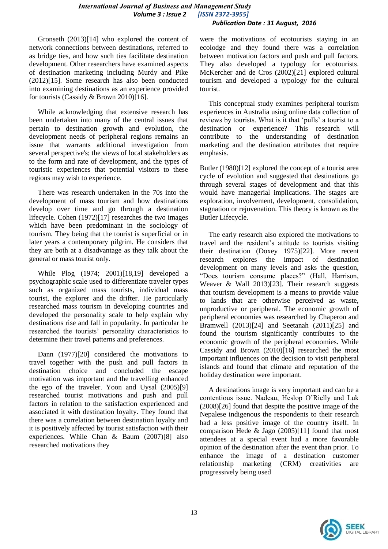Gronseth (2013)[14] who explored the content of network connections between destinations, referred to as bridge ties, and how such ties facilitate destination development. Other researchers have examined aspects of destination marketing including Murdy and Pike (2012)[15]. Some research has also been conducted into examining destinations as an experience provided for tourists (Cassidy & Brown 2010)[16].

While acknowledging that extensive research has been undertaken into many of the central issues that pertain to destination growth and evolution, the development needs of peripheral regions remains an issue that warrants additional investigation from several perspective's; the views of local stakeholders as to the form and rate of development, and the types of touristic experiences that potential visitors to these regions may wish to experience.

There was research undertaken in the 70s into the development of mass tourism and how destinations develop over time and go through a destination lifecycle. Cohen (1972)[17] researches the two images which have been predominant in the sociology of tourism. They being that the tourist is superficial or in later years a contemporary pilgrim. He considers that they are both at a disadvantage as they talk about the general or mass tourist only.

While Plog (1974; 2001)[18,19] developed a psychographic scale used to differentiate traveler types such as organized mass tourists, individual mass tourist, the explorer and the drifter. He particularly researched mass tourism in developing countries and developed the personality scale to help explain why destinations rise and fall in popularity. In particular he researched the tourists' personality characteristics to determine their travel patterns and preferences.

Dann (1977)[20] considered the motivations to travel together with the push and pull factors in destination choice and concluded the escape motivation was important and the travelling enhanced the ego of the traveler. Yoon and Uysal (2005)[9] researched tourist motivations and push and pull factors in relation to the satisfaction experienced and associated it with destination loyalty. They found that there was a correlation between destination loyalty and it is positively affected by tourist satisfaction with their experiences. While Chan & Baum (2007)[8] also researched motivations they

were the motivations of ecotourists staying in an ecolodge and they found there was a correlation between motivation factors and push and pull factors. They also developed a typology for ecotourists. McKercher and de Cros (2002)[21] explored cultural tourism and developed a typology for the cultural tourist.

This conceptual study examines peripheral tourism experiences in Australia using online data collection of reviews by tourists. What is it that 'pulls' a tourist to a destination or experience? This research will contribute to the understanding of destination marketing and the destination attributes that require emphasis.

Butler (1980)[12] explored the concept of a tourist area cycle of evolution and suggested that destinations go through several stages of development and that this would have managerial implications. The stages are exploration, involvement, development, consolidation, stagnation or rejuvenation. This theory is known as the Butler Lifecycle.

The early research also explored the motivations to travel and the resident's attitude to tourists visiting their destination (Doxey 1975)[22]. More recent research explores the impact of destination development on many levels and asks the question, "Does tourism consume places?" (Hall, Harrison, Weaver & Wall 2013)[23]. Their research suggests that tourism development is a means to provide value to lands that are otherwise perceived as waste, unproductive or peripheral. The economic growth of peripheral economies was researched by Chaperon and Bramwell (2013)[24] and Seetanah (2011)[25] and found the tourism significantly contributes to the economic growth of the peripheral economies. While Cassidy and Brown (2010)[16] researched the most important influences on the decision to visit peripheral islands and found that climate and reputation of the holiday destination were important.

A destinations image is very important and can be a contentious issue. Nadeau, Heslop O'Rielly and Luk (2008)[26] found that despite the positive image of the Nepalese indigenous the respondents to their research had a less positive image of the country itself. In comparison Hede & Jago (2005)[11] found that most attendees at a special event had a more favorable opinion of the destination after the event than prior. To enhance the image of a destination customer relationship marketing (CRM) creativities are progressively being used

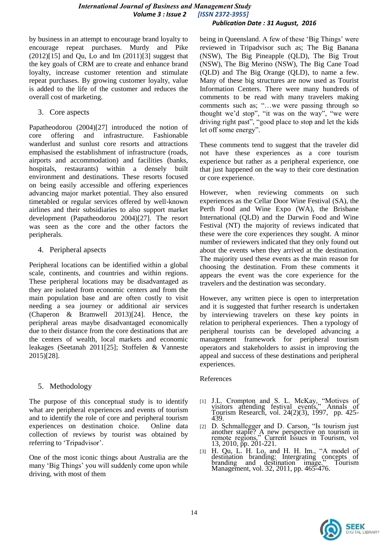by business in an attempt to encourage brand loyalty to encourage repeat purchases. Murdy and Pike  $(2012)[15]$  and Qu, Lo and Im  $(2011)[3]$  suggest that the key goals of CRM are to create and enhance brand loyalty, increase customer retention and stimulate repeat purchases. By growing customer loyalty, value is added to the life of the customer and reduces the overall cost of marketing.

3. Core aspects

Papatheodorou (2004)[27] introduced the notion of core offering and infrastructure. Fashionable wanderlust and sunlust core resorts and attractions emphasised the establishment of infrastructure (roads, airports and accommodation) and facilities (banks, hospitals, restaurants) within a densely built environment and destinations. These resorts focused on being easily accessible and offering experiences advancing major market potential. They also ensured timetabled or regular services offered by well-known airlines and their subsidiaries to also support market development (Papatheodorou 2004)[27]. The resort was seen as the core and the other factors the peripherals.

4. Peripheral apsects

Peripheral locations can be identified within a global scale, continents, and countries and within regions. These peripheral locations may be disadvantaged as they are isolated from economic centers and from the main population base and are often costly to visit needing a sea journey or additional air services (Chaperon & Bramwell 2013)[24]. Hence, the peripheral areas maybe disadvantaged economically due to their distance from the core destinations that are the centers of wealth, local markets and economic leakages (Seetanah 2011[25]; Stoffelen & Vanneste 2015)[28].

# 5. Methodology

The purpose of this conceptual study is to identify what are peripheral experiences and events of tourism and to identify the role of core and peripheral tourism experiences on destination choice. Online data collection of reviews by tourist was obtained by referring to 'Tripadvisor'.

One of the most iconic things about Australia are the many 'Big Things' you will suddenly come upon while driving, with most of them

being in Queensland. A few of these 'Big Things' were reviewed in Tripadvisor such as; The Big Banana (NSW), The Big Pineapple (QLD), The Big Trout (NSW), The Big Merino (NSW), The Big Cane Toad (QLD) and The Big Orange (QLD), to name a few. Many of these big structures are now used as Tourist Information Centers. There were many hundreds of comments to be read with many travelers making comments such as; "...we were passing through so thought we'd stop", "it was on the way", "we were driving right past", "good place to stop and let the kids let off some energy".

These comments tend to suggest that the traveler did not have these experiences as a core tourism experience but rather as a peripheral experience, one that just happened on the way to their core destination or core experience.

However, when reviewing comments on such experiences as the Cellar Door Wine Festival (SA), the Perth Food and Wine Expo (WA), the Brisbane International (QLD) and the Darwin Food and Wine Festival (NT) the majority of reviews indicated that these were the core experiences they sought. A minor number of reviewers indicated that they only found out about the events when they arrived at the destination. The majority used these events as the main reason for choosing the destination. From these comments it appears the event was the core experience for the travelers and the destination was secondary.

However, any written piece is open to interpretation and it is suggested that further research is undertaken by interviewing travelers on these key points in relation to peripheral experiences. Then a typology of peripheral tourists can be developed advancing a management framework for peripheral tourism operators and stakeholders to assist in improving the appeal and success of these destinations and peripheral experiences.

#### References

- [1] J.L. Crompton and S. L. McKay, "Motives of visitors attending festival events," Annals of Tourism Research, vol. 24(2)(3), 1997, pp. 425- 439.
- [2] D. Schmallegger and D. Carson, "Is tourism just another staple? A new perspective on tourism in remote regions," Current Issues in Tourism, vol 13, 2010, pp. 201-221.
- $[3]$  H. Qu, L. H. Lo, and H. H. Im., "A model of destination branding: Intergrating concepts of branding and destination image." Tourism Management, vol. 32, 2011, pp. 465-476.